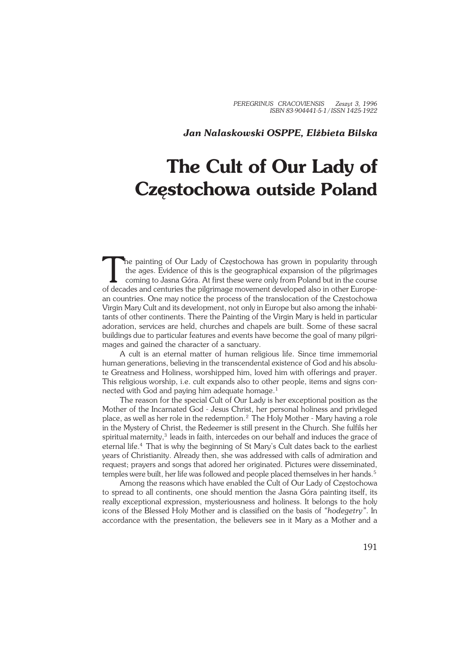*PEREGRINUS CRACOVIENSIS Zeszyt 3, 1996 ISBN 83−904441−5−1 / ISSN 1425−1922*

## *Jan Nalaskowski OSPPE, Elżbieta Bilska*

## **The Cult of Our Lady of Częstochowa outside Poland**

The painting of Our Lady of Częstochowa has grown in popularity through the ages. Evidence of this is the geographical expansion of the pilgrimages coming to Jasna Góra. At first these were only from Poland but in the cour he painting of Our Lady of Częstochowa has grown in popularity through the ages. Evidence of this is the geographical expansion of the pilgrimages coming to Jasna Góra. At first these were only from Poland but in the course an countries. One may notice the process of the translocation of the Częstochowa Virgin Mary Cult and its development, not only in Europe but also among the inhabi− tants of other continents. There the Painting of the Virgin Mary is held in particular adoration, services are held, churches and chapels are built. Some of these sacral buildings due to particular features and events have become the goal of many pilgri− mages and gained the character of a sanctuary.

A cult is an eternal matter of human religious life. Since time immemorial human generations, believing in the transcendental existence of God and his absolu− te Greatness and Holiness, worshipped him, loved him with offerings and prayer. This religious worship, i.e. cult expands also to other people, items and signs con− nected with God and paying him adequate homage.<sup>1</sup>

The reason for the special Cult of Our Lady is her exceptional position as the Mother of the Incarnated God − Jesus Christ, her personal holiness and privileged place, as well as her role in the redemption.<sup>2</sup> The Holy Mother - Mary having a role in the Mystery of Christ, the Redeemer is still present in the Church. She fulfils her spiritual maternity, $3$  leads in faith, intercedes on our behalf and induces the grace of eternal life.<sup>4</sup> That is why the beginning of St Mary's Cult dates back to the earliest years of Christianity. Already then, she was addressed with calls of admiration and request; prayers and songs that adored her originated. Pictures were disseminated, temples were built, her life was followed and people placed themselves in her hands.<sup>5</sup>

Among the reasons which have enabled the Cult of Our Lady of Częstochowa to spread to all continents, one should mention the Jasna Góra painting itself, its really exceptional expression, mysteriousness and holiness. It belongs to the holy icons of the Blessed Holy Mother and is classified on the basis of *"hodegetry"*. In accordance with the presentation, the believers see in it Mary as a Mother and a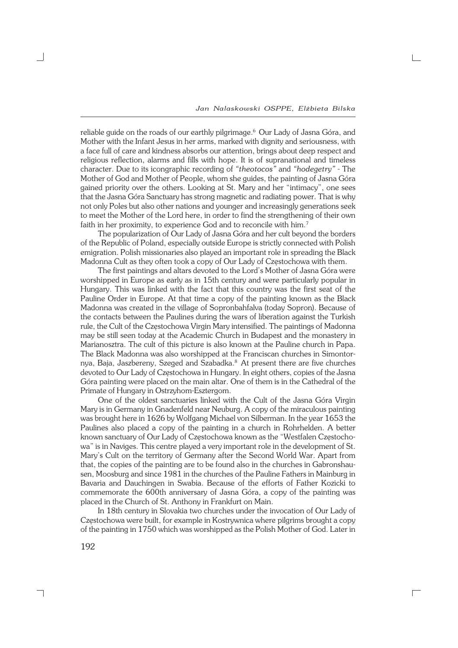reliable guide on the roads of our earthly pilgrimage.<sup>6</sup> Our Lady of Jasna Góra, and Mother with the Infant Jesus in her arms, marked with dignity and seriousness, with a face full of care and kindness absorbs our attention, brings about deep respect and religious reflection, alarms and fills with hope. It is of supranational and timeless character. Due to its icongraphic recording of *"theotocos"* and *"hodegetry"* − The Mother of God and Mother of People, whom she guides, the painting of Jasna Góra gained priority over the others. Looking at St. Mary and her "intimacy", one sees that the Jasna Góra Sanctuary has strong magnetic and radiating power. That is why not only Poles but also other nations and younger and increasingly generations seek to meet the Mother of the Lord here, in order to find the strengthening of their own faith in her proximity, to experience God and to reconcile with him.<sup>7</sup>

The popularization of Our Lady of Jasna Góra and her cult beyond the borders of the Republic of Poland, especially outside Europe is strictly connected with Polish emigration. Polish missionaries also played an important role in spreading the Black Madonna Cult as they often took a copy of Our Lady of Częstochowa with them.

The first paintings and altars devoted to the Lord's Mother of Jasna Góra were worshipped in Europe as early as in 15th century and were particularly popular in Hungary. This was linked with the fact that this country was the first seat of the Pauline Order in Europe. At that time a copy of the painting known as the Black Madonna was created in the village of Sopronbahfalva (today Sopron). Because of the contacts between the Paulines during the wars of liberation against the Turkish rule, the Cult of the Częstochowa Virgin Mary intensified. The paintings of Madonna may be still seen today at the Academic Church in Budapest and the monastery in Marianosztra. The cult of this picture is also known at the Pauline church in Papa. The Black Madonna was also worshipped at the Franciscan churches in Simontor− nya, Baja, Jaszbereny, Szeged and Szabadka.<sup>8</sup> At present there are five churches devoted to Our Lady of Częstochowa in Hungary. In eight others, copies of the Jasna Góra painting were placed on the main altar. One of them is in the Cathedral of the Primate of Hungary in Ostrzyhom−Esztergom.

One of the oldest sanctuaries linked with the Cult of the Jasna Góra Virgin Mary is in Germany in Gnadenfeld near Neuburg. A copy of the miraculous painting was brought here in 1626 by Wolfgang Michael von Silberman. In the year 1653 the Paulines also placed a copy of the painting in a church in Rohrhelden. A better known sanctuary of Our Lady of Częstochowa known as the "Westfalen Częstocho− wa" is in Naviges. This centre played a very important role in the development of St. Mary's Cult on the territory of Germany after the Second World War. Apart from that, the copies of the painting are to be found also in the churches in Gabronshau− sen, Moosburg and since 1981 in the churches of the Pauline Fathers in Mainburg in Bavaria and Dauchingen in Swabia. Because of the efforts of Father Kozicki to commemorate the 600th anniversary of Jasna Góra, a copy of the painting was placed in the Church of St. Anthony in Frankfurt on Main.

In 18th century in Slovakia two churches under the invocation of Our Lady of Częstochowa were built, for example in Kostrywnica where pilgrims brought a copy of the painting in 1750 which was worshipped as the Polish Mother of God. Later in

 $\Gamma$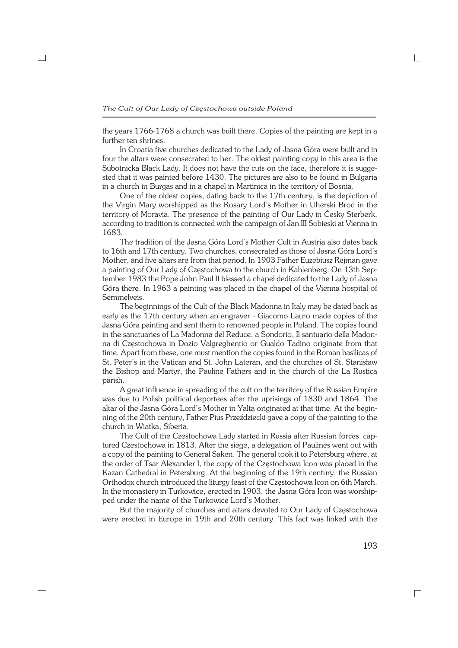the years 1766−1768 a church was built there. Copies of the painting are kept in a further ten shrines.

In Croatia five churches dedicated to the Lady of Jasna Góra were built and in four the altars were consecrated to her. The oldest painting copy in this area is the Subotnicka Black Lady. It does not have the cuts on the face, therefore it is sugge− sted that it was painted before 1430. The pictures are also to be found in Bulgaria in a church in Burgas and in a chapel in Martinica in the territory of Bosnia.

One of the oldest copies, dating back to the 17th century, is the depiction of the Virgin Mary worshipped as the Rosary Lord's Mother in Uherski Brod in the territory of Moravia. The presence of the painting of Our Lady in Česky Sterberk, according to tradition is connected with the campaign of Jan III Sobieski at Vienna in 1683.

The tradition of the Jasna Góra Lord's Mother Cult in Austria also dates back to 16th and 17th century. Two churches, consecrated as those of Jasna Góra Lord's Mother, and five altars are from that period. In 1903 Father Euzebiusz Rejman gave a painting of Our Lady of Częstochowa to the church in Kahlenberg. On 13th Sep− tember 1983 the Pope John Paul II blessed a chapel dedicated to the Lady of Jasna Góra there. In 1963 a painting was placed in the chapel of the Vienna hospital of Semmelveis.

The beginnings of the Cult of the Black Madonna in Italy may be dated back as early as the 17th century when an engraver - Giacomo Lauro made copies of the Jasna Góra painting and sent them to renowned people in Poland. The copies found in the sanctuaries of La Madonna del Reduce, a Sondorio, Il santuario della Madon− na di Częstochowa in Dozio Valgreghentio or Gualdo Tadino originate from that time. Apart from these, one must mention the copies found in the Roman basilicas of St. Peter's in the Vatican and St. John Lateran, and the churches of St. Stanisław the Bishop and Martyr, the Pauline Fathers and in the church of the La Rustica parish.

A great influence in spreading of the cult on the territory of the Russian Empire was due to Polish political deportees after the uprisings of 1830 and 1864. The altar of the Jasna Góra Lord's Mother in Yalta originated at that time. At the begin− ning of the 20th century, Father Pius Przeździecki gave a copy of the painting to the church in Wiatka, Siberia.

The Cult of the Częstochowa Lady started in Russia after Russian forces cap− tured Częstochowa in 1813. After the siege, a delegation of Paulines went out with a copy of the painting to General Saken. The general took it to Petersburg where, at the order of Tsar Alexander I, the copy of the Częstochowa Icon was placed in the Kazan Cathedral in Petersburg. At the beginning of the 19th century, the Russian Orthodox church introduced the liturgy feast of the Częstochowa Icon on 6th March. In the monastery in Turkowice, erected in 1903, the Jasna Góra Icon was worship− ped under the name of the Turkowice Lord's Mother.

But the majority of churches and altars devoted to Our Lady of Częstochowa were erected in Europe in 19th and 20th century. This fact was linked with the

Г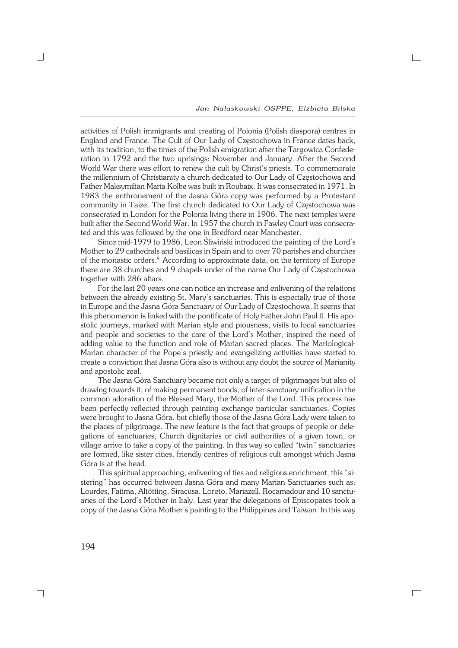activities of Polish immigrants and creating of Polonia (Polish diaspora) centres in England and France. The Cult of Our Lady of Częstochowa in France dates back, with its tradition, to the times of the Polish emigration after the Targowica Confederation in 1792 and the two uprisings: November and January. After the Second World War there was effort to renew the cult by Christ's priests. To commemorate the millennium of Christianity a church dedicated to Our Lady of Częstochowa and Father Maksymilian Maria Kolbe was built in Roubaix. It was consecrated in 1971. In 1983 the enthronement of the Jasna Góra copy was performed by a Protestant community in Taize. The first church dedicated to Our Lady of Częstochowa was consecrated in London for the Polonia living there in 1906. The next temples were built after the Second World War. In 1957 the church in Fawley Court was consecra− ted and this was followed by the one in Bredford near Manchester.

Since mid−1979 to 1986, Leon Śliwiński introduced the painting of the Lord's Mother to 29 cathedrals and basilicas in Spain and to over 70 parishes and churches of the monastic orders.<sup>9</sup> According to approximate data, on the territory of Europe there are 38 churches and 9 chapels under of the name Our Lady of Częstochowa together with 286 altars.

For the last 20 years one can notice an increase and enlivening of the relations between the already existing St. Mary's sanctuaries. This is especially true of those in Europe and the Jasna Góra Sanctuary of Our Lady of Częstochowa. It seems that this phenomenon is linked with the pontificate of Holy Father John Paul II. His apo− stolic journeys, marked with Marian style and piousness, visits to local sanctuaries and people and societies to the care of the Lord's Mother, inspired the need of adding value to the function and role of Marian sacred places. The Mariological− Marian character of the Pope's priestly and evangelizing activities have started to create aconviction that Jasna Góra also is without any doubt the source of Marianity and apostolic zeal.

The Jasna Góra Sanctuary became not only a target of pilgrimages but also of drawing towards it, of making permanent bonds, of inter−sanctuary unification in the common adoration of the Blessed Mary, the Mother of the Lord. This process has been perfectly reflected through painting exchange particular sanctuaries. Copies were brought to Jasna Góra, but chiefly those of the Jasna Góra Lady were taken to the places of pilgrimage. The new feature is the fact that groups of people or dele− gations of sanctuaries, Church dignitaries or civil authorities of a given town, or village arrive to take a copy of the painting. In this way so called "twin" sanctuaries are formed, like sister cities, friendly centres of religious cult amongst which Jasna Góra is at the head.

This spiritual approaching, enlivening of ties and religious enrichment, this "si− stering" has occurred between Jasna Góra and many Marian Sanctuaries such as: Lourdes, Fatima, Altötting, Siracusa, Loreto, Mariazell, Rocamadour and 10 sanctu− aries of the Lord's Mother in Italy. Last year the delegations of Episcopates took a copy of the Jasna Góra Mother's painting to the Philippines and Taiwan. In this way

 $\Gamma$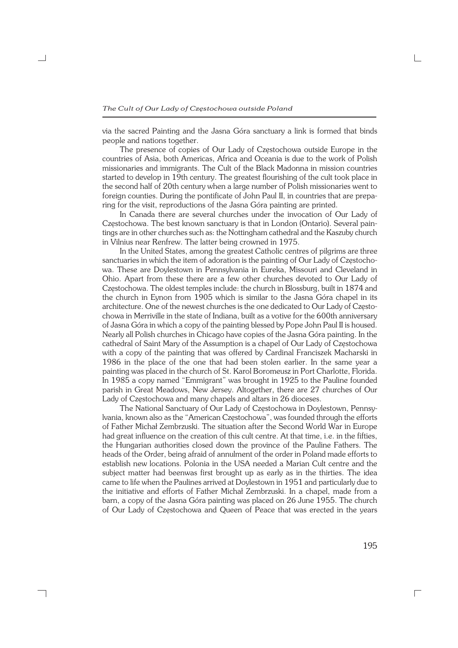via the sacred Painting and the Jasna Góra sanctuary a link is formed that binds people and nations together.

The presence of copies of Our Lady of Częstochowa outside Europe in the countries of Asia, both Americas, Africa and Oceania is due to the work of Polish missionaries and immigrants. The Cult of the Black Madonna in mission countries started to develop in 19th century. The greatest flourishing of the cult took place in the second half of 20th century when a large number of Polish missionaries went to foreign counties. During the pontificate of John Paul II, in countries that are prepa− ring for the visit, reproductions of the Jasna Góra painting are printed.

In Canada there are several churches under the invocation of Our Lady of Częstochowa. The best known sanctuary is that in London (Ontario). Several pain− tings are in other churches such as: the Nottingham cathedral and the Kaszuby church in Vilnius near Renfrew. The latter being crowned in 1975.

In the United States, among the greatest Catholic centres of pilgrims are three sanctuaries in which the item of adoration is the painting of Our Lady of Częstocho− wa. These are Doylestown in Pennsylvania in Eureka, Missouri and Cleveland in Ohio. Apart from these there are a few other churches devoted to Our Lady of Częstochowa. The oldest temples include: the church in Blossburg, built in 1874 and the church in Eynon from 1905 which is similar to the Jasna Góra chapel in its architecture. One of the newest churches is the one dedicated to Our Lady of Często− chowa in Merriville in the state of Indiana, built as a votive for the 600th anniversary of Jasna Góra in which a copy of the painting blessed by Pope John Paul II is housed. Nearly all Polish churches in Chicago have copies of the Jasna Góra painting. In the cathedral of Saint Mary of the Assumption is a chapel of Our Lady of Częstochowa with a copy of the painting that was offered by Cardinal Franciszek Macharski in 1986 in the place of the one that had been stolen earlier. In the same year a painting was placed in the church of St. Karol Boromeusz in Port Charlotte, Florida. In 1985 a copy named "Emmigrant" was brought in 1925 to the Pauline founded parish in Great Meadows, New Jersey. Altogether, there are 27 churches of Our Lady of Częstochowa and many chapels and altars in 26 dioceses.

The National Sanctuary of Our Lady of Częstochowa in Doylestown, Pennsy− lvania, known also as the "American Częstochowa", was founded through the efforts of Father Michał Zembrzuski. The situation after the Second World War in Europe had great influence on the creation of this cult centre. At that time, i.e. in the fifties, the Hungarian authorities closed down the province of the Pauline Fathers. The heads of the Order, being afraid of annulment of the order in Poland made efforts to establish new locations. Polonia in the USA needed a Marian Cult centre and the subject matter had beenwas first brought up as early as in the thirties. The idea came to life when the Paulines arrived at Doylestown in 1951 and particularly due to the initiative and efforts of Father Michał Zembrzuski. In a chapel, made from a barn, a copy of the Jasna Góra painting was placed on 26 June 1955. The church of Our Lady of Częstochowa and Queen of Peace that was erected in the years

 $\Box$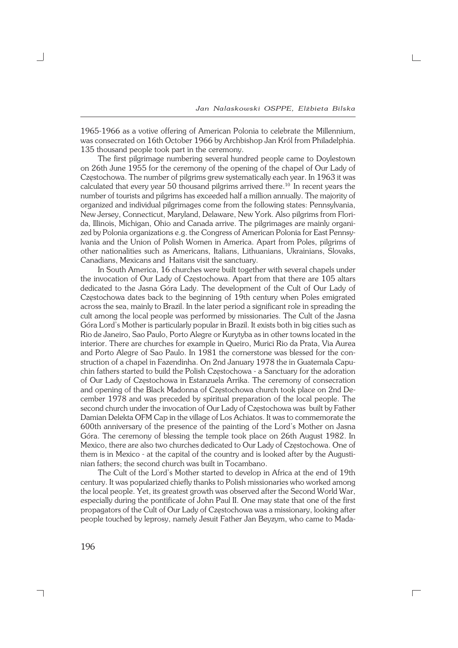1965−1966 as a votive offering of American Polonia to celebrate the Millennium, was consecrated on 16th October 1966 by Archbishop Jan Król from Philadelphia. 135 thousand people took part in the ceremony.

The first pilgrimage numbering several hundred people came to Doylestown on 26th June 1955 for the ceremony of the opening of the chapel of Our Lady of Częstochowa. The number of pilgrims grew systematically each year. In 1963 it was calculated that every year 50 thousand pilgrims arrived there.<sup>10</sup> In recent years the number of tourists and pilgrims has exceeded half a million annually. The majority of organized and individual pilgrimages come from the following states: Pennsylvania, New Jersey, Connecticut, Maryland, Delaware, New York. Also pilgrims from Flori− da, Illinois, Michigan, Ohio and Canada arrive. The pilgrimages are mainly organi− zed by Polonia organizations e.g. the Congress of American Polonia for East Pennsy− lvania and the Union of Polish Women in America. Apart from Poles, pilgrims of other nationalities such as Americans, Italians, Lithuanians, Ukrainians, Slovaks, Canadians, Mexicans and Haitans visit the sanctuary.

In South America, 16 churches were built together with several chapels under the invocation of Our Lady of Częstochowa. Apart from that there are 105 altars dedicated to the Jasna Góra Lady. The development of the Cult of Our Lady of Częstochowa dates back to the beginning of 19th century when Poles emigrated across the sea, mainly to Brazil. In the later period a significant role in spreading the cult among the local people was performed by missionaries. The Cult of the Jasna Góra Lord's Mother is particularly popular in Brazil. It exists both in big cities such as Rio de Janeiro, Sao Paulo, Porto Alegre or Kurytyba as in other towns located in the interior. There are churches for example in Queiro, Murici Rio da Prata, Via Aurea and Porto Alegre of Sao Paulo. In 1981 the cornerstone was blessed for the con− struction of a chapel in Fazendinha. On 2nd January 1978 the in Guatemala Capu− chin fathers started to build the Polish Częstochowa − a Sanctuary for the adoration of Our Lady of Częstochowa in Estanzuela Arrika. The ceremony of consecration and opening of the Black Madonna of Częstochowa church took place on 2nd De− cember 1978 and was preceded by spiritual preparation of the local people. The second church under the invocation of Our Lady of Częstochowa was built by Father Damian Delekta OFM Cap in the village of Los Achiatos. It was to commemorate the 600th anniversary of the presence of the painting of the Lord's Mother on Jasna Góra. The ceremony of blessing the temple took place on 26th August 1982. In Mexico, there are also two churches dedicated to Our Lady of Częstochowa. One of them is in Mexico − at the capital of the country and is looked after by the Augusti− nian fathers; the second church was built in Tocambano.

The Cult of the Lord's Mother started to develop in Africa at the end of 19th century. It was popularized chiefly thanks to Polish missionaries who worked among the local people. Yet, its greatest growth was observed after the Second World War, especially during the pontificate of John Paul II. One may state that one of the first propagators of the Cult of Our Lady of Częstochowa was a missionary, looking after people touched by leprosy, namely Jesuit Father Jan Beyzym, who came to Mada−

 $\Gamma$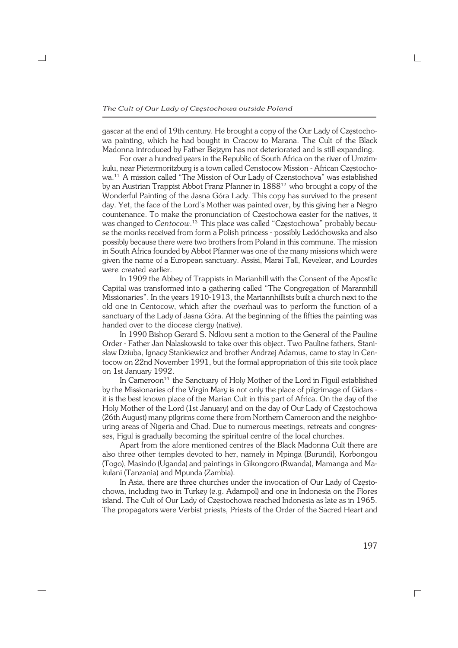gascar at the end of 19th century. He brought a copy of the Our Lady of Częstocho− wa painting, which he had bought in Cracow to Marana. The Cult of the Black Madonna introduced by Father Bejzym has not deteriorated and is still expanding.

For over a hundred years in the Republic of South Africa on the river of Umzim− kulu, near Pietermoritzburg is a town called Censtocow Mission − African Częstocho− wa.11 Amission called "The Mission of Our Lady of Czenstochova" was established by an Austrian Trappist Abbot Franz Pfanner in 1888<sup>12</sup> who brought a copy of the Wonderful Painting of the Jasna Góra Lady. This copy has survived to the present day. Yet, the face of the Lord's Mother was painted over, by this giving her a Negro countenance. To make the pronunciation of Częstochowa easier for the natives, it was changed to *Centocow*. <sup>13</sup> This place was called "Częstochowa" probably becau− se the monks received from form a Polish princess − possibly Ledóchowska and also possibly because there were two brothers from Poland in this commune. The mission in South Africa founded by Abbot Pfanner was one of the many missions which were given the name of a European sanctuary. Assisi, Marai Tall, Kevelear, and Lourdes were created earlier.

In 1909 the Abbey of Trappists in Marianhill with the Consent of the Apostlic Capital was transformed into a gathering called "The Congregation of Marannhill Missionaries". In the years 1910−1913, the Mariannhillists built a church next to the old one in Centocow, which after the overhaul was to perform the function of a sanctuary of the Lady of Jasna Góra. At the beginning of the fifties the painting was handed over to the diocese clergy (native).

In 1990 Bishop Gerard S. Ndlovu sent a motion to the General of the Pauline Order − Father Jan Nalaskowski to take over this object. Two Pauline fathers, Stani− sław Dziuba, Ignacy Stankiewicz and brother Andrzej Adamus, came to stay in Cen− tocow on 22nd November 1991, but the formal appropriation of this site took place on 1st January 1992.

In Cameroon<sup>14</sup> the Sanctuary of Holy Mother of the Lord in Figuil established by the Missionaries of the Virgin Mary is not only the place of pilgrimage of Gidars − it is the best known place of the Marian Cult in this part of Africa. On the day of the Holy Mother of the Lord (1st January) and on the day of Our Lady of Częstochowa (26th August) many pilgrims come there from Northern Cameroon and the neighbo− uring areas of Nigeria and Chad. Due to numerous meetings, retreats and congres− ses, Figul is gradually becoming the spiritual centre of the local churches.

Apart from the afore mentioned centres of the Black Madonna Cult there are also three other temples devoted to her, namely in Mpinga (Burundi), Korbongou (Togo), Masindo (Uganda) and paintings in Gikongoro (Rwanda), Mamanga and Ma− kulani (Tanzania) and Mpunda (Zambia).

In Asia, there are three churches under the invocation of Our Lady of Często− chowa, including two in Turkey (e.g. Adampol) and one in Indonesia on the Flores island. The Cult of Our Lady of Częstochowa reached Indonesia as late as in 1965. The propagators were Verbist priests, Priests of the Order of the Sacred Heart and

 $\Box$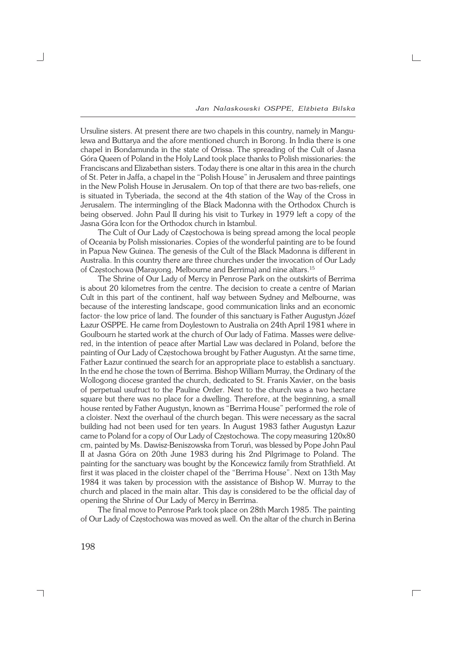Ursuline sisters. At present there are two chapels in this country, namely in Mangu− lewa and Buttarya and the afore mentioned church in Borong. In India there is one chapel in Bondamunda in the state of Orissa. The spreading of the Cult of Jasna Góra Queen of Poland in the Holy Land took place thanks to Polish missionaries: the Franciscans and Elizabethan sisters. Today there is one altar in this area in the church of St. Peter in Jaffa, a chapel in the "Polish House" in Jerusalem and three paintings in the New Polish House in Jerusalem. On top of that there are two bas−reliefs, one is situated in Tyberiada, the second at the 4th station of the Way of the Cross in Jerusalem. The intermingling of the Black Madonna with the Orthodox Church is being observed. John Paul II during his visit to Turkey in 1979 left a copy of the Jasna Góra Icon for the Orthodox church in Istambul.

The Cult of Our Lady of Częstochowa is being spread among the local people of Oceania by Polish missionaries. Copies of the wonderful painting are to be found in Papua New Guinea. The genesis of the Cult of the Black Madonna is different in Australia. In this country there are three churches under the invocation of Our Lady of Częstochowa (Marayong, Melbourne and Berrima) and nine altars.<sup>15</sup>

The Shrine of Our Lady of Mercy in Penrose Park on the outskirts of Berrima is about 20 kilometres from the centre. The decision to create a centre of Marian Cult in this part of the continent, half way between Sydney and Melbourne, was because of the interesting landscape, good communication links and an economic factor− the low price of land. The founder of this sanctuary is Father Augustyn Józef Łazur OSPPE. He came from Doylestown to Australia on 24th April 1981 where in Goulbourn he started work at the church of Our lady of Fatima. Masses were delive− red, in the intention of peace after Martial Law was declared in Poland, before the painting of Our Lady of Częstochowa brought by Father Augustyn. At the same time, Father Łazur continued the search for an appropriate place to establish a sanctuary. In the end he chose the town of Berrima. Bishop William Murray, the Ordinary of the Wollogong diocese granted the church, dedicated to St. Franis Xavier, on the basis of perpetual usufruct to the Pauline Order. Next to the church was a two hectare square but there was no place for a dwelling. Therefore, at the beginning, a small house rented by Father Augustyn, known as "Berrima House" performed the role of a cloister. Next the overhaul of the church began. This were necessary as the sacral building had not been used for ten years. In August 1983 father Augustyn Łazur came to Poland for a copy of Our Lady of Częstochowa. The copy measuring 120x80 cm, painted by Ms. Dawisz−Beniszowska from Toruń, was blessed by Pope John Paul II at Jasna Góra on 20th June 1983 during his 2nd Pilgrimage to Poland. The painting for the sanctuary was bought by the Koncewicz family from Strathfield. At first it was placed in the cloister chapel of the "Berrima House". Next on 13th May 1984 it was taken by procession with the assistance of Bishop W. Murray to the church and placed in the main altar. This day is considered to be the official day of opening the Shrine of Our Lady of Mercy in Berrima.

The final move to Penrose Park took place on 28th March 1985. The painting of Our Lady of Częstochowa was moved as well. On the altar of the church in Berina

 $\Gamma$ 

┓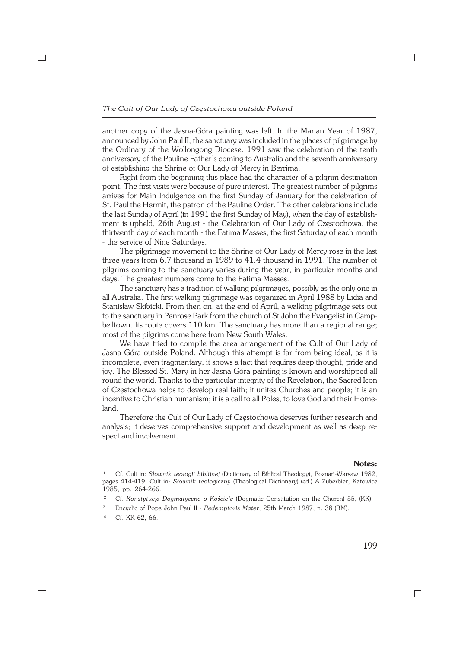another copy of the Jasna−Góra painting was left. In the Marian Year of 1987, announced by John Paul II, the sanctuary was included in the places of pilgrimage by the Ordinary of the Wollongong Diocese. 1991 saw the celebration of the tenth anniversary of the Pauline Father's coming to Australia and the seventh anniversary of establishing the Shrine of Our Lady of Mercy in Berrima.

Right from the beginning this place had the character of a pilgrim destination point. The first visits were because of pure interest. The greatest number of pilgrims arrives for Main Indulgence on the first Sunday of January for the celebration of St. Paul the Hermit, the patron of the Pauline Order. The other celebrations include the last Sunday of April (in 1991 the first Sunday of May), when the day of establish− ment is upheld, 26th August − the Celebration of Our Lady of Częstochowa, the thirteenth day of each month − the Fatima Masses, the first Saturday of each month − the service of Nine Saturdays.

The pilgrimage movement to the Shrine of Our Lady of Mercy rose in the last three years from 6.7 thousand in 1989 to 41.4 thousand in 1991. The number of pilgrims coming to the sanctuary varies during the year, in particular months and days. The greatest numbers come to the Fatima Masses.

The sanctuary has a tradition of walking pilgrimages, possibly as the only one in all Australia. The first walking pilgrimage was organized in April 1988 by Lidia and Stanisław Skibicki. From then on, at the end of April, a walking pilgrimage sets out to the sanctuary in Penrose Park from the church of St John the Evangelist in Camp− belltown. Its route covers 110 km. The sanctuary has more than a regional range; most of the pilgrims come here from New South Wales.

We have tried to compile the area arrangement of the Cult of Our Lady of Jasna Góra outside Poland. Although this attempt is far from being ideal, as it is incomplete, even fragmentary, it shows a fact that requires deep thought, pride and joy. The Blessed St. Mary in her Jasna Góra painting is known and worshipped all round the world. Thanks to the particular integrity of the Revelation, the Sacred Icon of Częstochowa helps to develop real faith; it unites Churches and people; it is an incentive to Christian humanism; it is a call to all Poles, to love God and their Home− land.

Therefore the Cult of Our Lady of Częstochowa deserves further research and analysis; it deserves comprehensive support and development as well as deep re− spect and involvement.

## **Notes:**

- <sup>1</sup> Cf. Cult in: *Słownik teologii biblijnej* (Dictionary of Biblical Theology), Poznań−Warsaw 1982, pages 414−419; Cult in: *Słownik teologiczny* (Theological Dictionary) (ed.) A Zuberbier, Katowice 1985, pp. 264−266.
- <sup>2</sup> Cf. *Konstytucja Dogmatyczna o Kościele* (Dogmatic Constitution on the Church) 55, (KK).
- <sup>3</sup> Encyclic of Pope John Paul II − *Redemptoris Mater*, 25th March 1987, n. 38 (RM).
- <sup>4</sup> Cf. KK 62, 66.

Г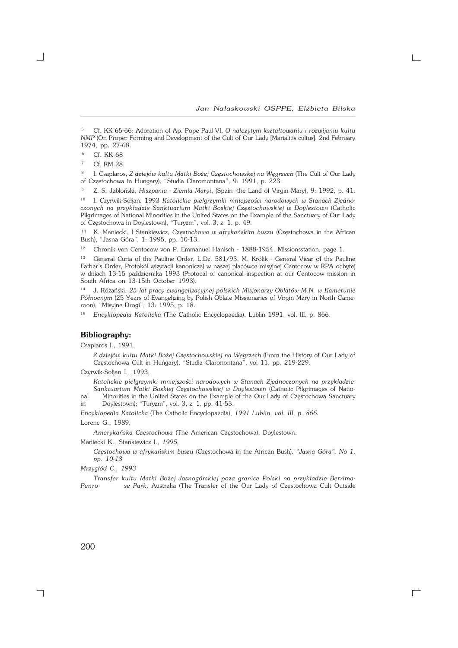<sup>5</sup> Cf. KK 65−66; Adoration of Ap. Pope Paul VI, *O należytym kształtowaniu i rozwijaniu kultu NMP* (On Proper Forming and Development of the Cult of Our Lady [Marialitis cultus], 2nd February 1974, pp. 27−68.

<sup>7</sup> Cf. RM 28.

8 I. Csaplaros, *Z dziejów kultu Matki Bożej Częstochowskej na Węgrzech* (The Cult of Our Lady of Częstochowa in Hungary), "Studia Claromontana", 9: 1991, p. 223.

<sup>9</sup> Z. S. Jabłoński, *Hiszpania − Ziemia Maryi*, (Spain −the Land of Virgin Mary), 9: 1992, p. 41.

<sup>10</sup> I. Czyrwik−Sołjan, 1993 *Katolickie pielgrzymki mniejszości narodowych w Stanach Zjedno− czonych na przykładzie Sanktuarium Matki Boskiej Częstochowskiej w Doylestown* (Catholic Pilgrimages of National Minorities in the United States on the Example of the Sanctuary of Our Lady of Częstochowa in Doylestown), "Turyzm", vol. 3, z. 1, p. 49.

<sup>11</sup> K. Maniecki, I Stankiewicz, *Częstochowa w afrykańskim buszu* (Częstochowa in the African Bush), "Jasna Góra", 1: 1995, pp. 10−13.

<sup>12</sup> Chronik von Centocow von P. Emmanuel Hanisch − 1888−1954. Missionsstation, page 1.

<sup>13</sup> General Curia of the Pauline Order, L.Dz. 581/93, M. Królik − General Vicar of the Pauline Father's Order, Protokół wizytacji kanoniczej w naszej placówce misyjnej Centocow w RPA odbytej w dniach 13−15 października 1993 (Protocal of canonical inspection at our Centocow mission in South Africa on 13−15th October 1993).

<sup>14</sup> J. Różański, *25 lat pracy ewangelizacyjnej polskich Misjonarzy Oblatów M.N. w Kamerunie Północnym* (25 Years of Evangelizing by Polish Oblate Missionaries of Virgin Mary in North Came− roon), "Misyjne Drogi", 13: 1995, p. 18.

<sup>15</sup> *Encyklopedia Katolicka* (The Catholic Encyclopaedia), Lublin 1991, vol. III, p. 866.

## **Bibliography:**

Csaplaros I., 1991,

*Z dziejów kultu Matki Bożej Częstochowskiej na Węgrzech* (From the History of Our Lady of Częstochowa Cult in Hungary), "Studia Claronontana", vol 11, pp. 219−229.

Czyrwik−Sołjan I., 1993,

*Katolickie pielgrzymki mniejszości narodowych w Stanach Zjednoczonych na przykładzie Sanktuarium Matki Boskiej Częstochowskiej w Doylestown* (Catholic Pilgrimages of Natio−

nal Minorities in the United States on the Example of the Our Lady of Częstochowa Sanctuary in Doylestown); "Turyzm", vol. 3, z. 1, pp. 41−53.

*Encyklopedia Katolicka* (The Catholic Encyclopaedia), *1991 Lublin, vol. III, p. 866.* Lorenc G., 1989,

*Amerykańska Częstochowa* (The American Częstochowa), Doylestown.

Maniecki K., Stankiewicz I., *1995,*

*Częstochowa w afrykańskim buszu* (Częstochowa in the African Bush)*, "Jasna Góra", No 1, pp. 10−13*

 $\Gamma$ 

*Mrzygłód C., 1993*

*Transfer kultu Matki Bożej Jasnogórskiej poza granice Polski na przykładzie Berrima− Penro− se Park,* Australia (The Transfer of the Our Lady of Częstochowa Cult Outside

Cf. KK 68